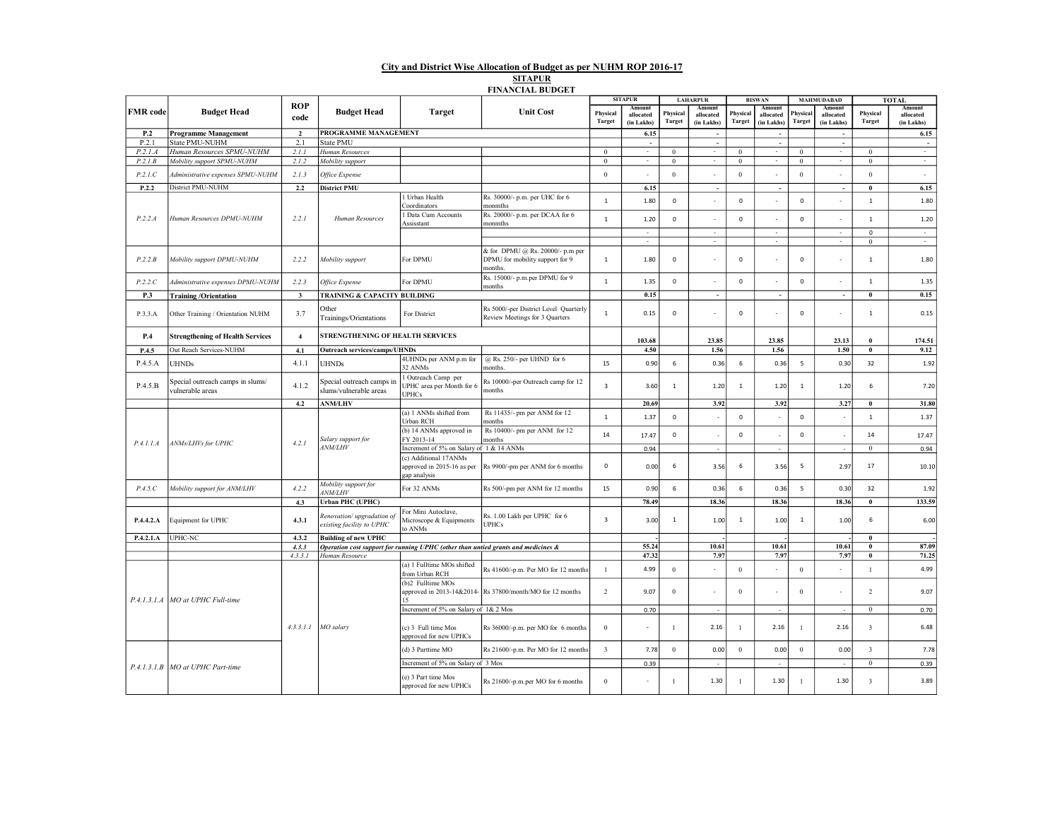## City and District Wise Allocation of Budget as per NUHM ROP 2016-17

**SITAPUR** FINANCIAL BUDGET

|                 |                                                      |                    |                                                                                   |                                                                     |                                                                                | <b>SITAPUR</b>          |                          | <b>LAHARPUR</b>     |                          | <b>BISWAN</b>             |                          | <b>MAHMUDABAD</b> |                                  |                         | <b>TOTAL</b>            |
|-----------------|------------------------------------------------------|--------------------|-----------------------------------------------------------------------------------|---------------------------------------------------------------------|--------------------------------------------------------------------------------|-------------------------|--------------------------|---------------------|--------------------------|---------------------------|--------------------------|-------------------|----------------------------------|-------------------------|-------------------------|
| <b>FMR</b> code | <b>Budget Head</b>                                   | <b>ROP</b><br>code | <b>Budget Head</b>                                                                | <b>Target</b>                                                       | <b>Unit Cost</b>                                                               | Physical<br>Target      | allocated<br>(in Lakhs)  | Physical<br>Target  | allocated<br>(in Lakhs)  | Physical<br><b>Target</b> | allocated<br>(in Lakhs)  | Physica<br>Target | Amoun<br>allocated<br>(in Lakhs) | Physical<br>Target      | allocated<br>(in Lakhs) |
| P.2             | <b>Programme Management</b>                          | $\mathbf{2}$       | PROGRAMME MANAGEMENT                                                              |                                                                     |                                                                                |                         | 6.15                     |                     | ÷.                       |                           |                          |                   |                                  |                         | 6.15                    |
| P.2.1           | State PMU-NUHM                                       | 2.1                | State PMU                                                                         |                                                                     |                                                                                |                         | $\sim$                   |                     | ÷.                       |                           | ÷.                       |                   | ÷.                               |                         |                         |
| P.2.1.A         | Human Resources SPMU-NUHM                            | 2.1.1              | Human Resources                                                                   |                                                                     |                                                                                | $\mathbf{0}$            | $\mathbf{r}$             | $\mathbf{0}$        | $\sim$                   | $\mathbf{0}$              | ÷.                       | $\mathbf{0}$      | ×                                | $\mathbf{0}$            | $\sim$                  |
| P.2.1.B         | Mobility support SPMU-NUHM                           | 2.1.2              | Mobility support                                                                  |                                                                     |                                                                                | $\boldsymbol{0}$        | $\sim$                   | $\boldsymbol{0}$    | $\sim$                   | $\mathbf{0}$              | $\sim$                   | $\mathbf{0}$      | $\overline{\phantom{a}}$         | $\bf{0}$                | $\sim$                  |
| P.2.1.C         | Administrative expenses SPMU-NUHM                    | 2.1.3              | Office Expense                                                                    |                                                                     |                                                                                | $\boldsymbol{0}$        | $\overline{\phantom{a}}$ | $\mathbf{0}$        |                          | $\boldsymbol{0}$          |                          | $\mathbf{0}$      |                                  | $\boldsymbol{0}$        | $\sim$                  |
| P.2.2           | District PMU-NUHM                                    | 2.2                | <b>District PMU</b>                                                               |                                                                     |                                                                                |                         | 6.15                     |                     |                          |                           |                          |                   |                                  | $\bf{0}$                | 6.15                    |
| P.2.2.A         | Human Resources DPMU-NUHM                            | 2.2.1              | Human Resources                                                                   | l Urban Health<br>Coordinators                                      | Rs. 30000/- p.m. per UHC for 6<br>monmths                                      | $\,$ 1                  | 1.80                     | $\mathsf 0$         |                          | 0                         |                          | $\mathsf 0$       | $\mathbf{r}$                     | $\,$ 1                  | 1.80                    |
|                 |                                                      |                    |                                                                                   | <b>Data Cum Accounts</b><br>Assisstant                              | Rs. 20000/- p.m. per DCAA for 6<br>monmths                                     | $\,$ 1                  | 1.20                     | $\mathsf 0$         |                          | 0                         | $\overline{\phantom{a}}$ | $\mathsf 0$       |                                  | $\mathbf{1}$            | 1.20                    |
|                 |                                                      |                    |                                                                                   |                                                                     |                                                                                |                         | $\overline{\phantom{a}}$ |                     | $\overline{\phantom{a}}$ |                           | $\overline{\phantom{a}}$ |                   | $\overline{\phantom{a}}$         | $\mathsf 0$             | $\sim$                  |
|                 |                                                      |                    |                                                                                   |                                                                     |                                                                                |                         | $\sim$                   |                     | $\sim$                   |                           | $\sim$                   |                   | $\sim$                           | $\overline{0}$          | $\sim$                  |
| P.2.2.B         | Mobility support DPMU-NUHM                           | 2.2.2              | Mobility support                                                                  | For DPMU                                                            | & for DPMU @ Rs. 20000/- p.m per<br>DPMU for mobility support for 9<br>months. | $\mathbf{1}$            | 1.80                     | $\mathsf 0$         |                          | 0                         |                          | $\mathbf 0$       | $\sim$                           | $\mathbf{1}$            | 1.80                    |
| P.2.2.C         | Administrative expenses DPMU-NUHM                    | 2.2.3              | Office Expense                                                                    | For DPMU                                                            | Rs. 15000/- p.m.per DPMU for 9<br>months                                       | $\,$ 1 $\,$             | 1.35                     | $\mathbf 0$         |                          | $\mathbf{0}$              |                          | $\mathbf 0$       |                                  | $\mathbf{1}$            | 1.35                    |
| P.3             | <b>Training/Orientation</b>                          | $\mathbf{3}$       | TRAINING & CAPACITY BUILDING                                                      |                                                                     |                                                                                |                         | 0.15                     |                     | ÷.                       |                           | ÷.                       |                   | ×,                               | $\bf{0}$                | 0.15                    |
| P.3.3.A         | Other Training / Orientation NUHM                    | 3.7                | Other<br>Trainings/Orientations                                                   | For District                                                        | Rs 5000/-per District Level Quarterly<br>Review Meetings for 3 Quarters        | $\mathbf{1}$            | 0.15                     | $\mathsf{O}\xspace$ |                          | 0                         |                          | $\mathsf 0$       |                                  | $\mathbf{1}$            | 0.15                    |
| P.4             | <b>Strengthening of Health Services</b>              | $\overline{4}$     | STRENGTHENING OF HEALTH SERVICES                                                  |                                                                     |                                                                                |                         | 103.68                   |                     | 23.85                    |                           | 23.85                    |                   | 23.13                            | 0                       | 174.51                  |
| P.4.5           | Out Reach Services-NUHM                              | 4.1                | <b>Outreach services/camps/UHNDs</b>                                              |                                                                     |                                                                                |                         | 4.50                     |                     | 1.56                     |                           | 1.56                     |                   | 1.50                             | $\bf{0}$                | 9.12                    |
| P.4.5.A         | <b>UHNDs</b>                                         | 4.1.1              | <b>UHNDs</b>                                                                      | 4UHNDs per ANM p.m for<br>32 ANMs                                   | @ Rs. 250/- per UHND for 6<br>months.                                          | 15                      | 0.90                     | 6                   | 0.36                     | 6                         | 0.36                     | 5                 | 0.30                             | 32                      | 1.92                    |
| P.4.5.B         | Special outreach camps in slums/<br>vulnerable areas | 4.1.2              | Special outreach camps in<br>slums/vulnerable areas                               | Outreach Camp per<br>UPHC area per Month for 6<br><b>UPHCs</b>      | Rs 10000/-per Outreach camp for 12<br>months                                   | $\overline{\mathbf{3}}$ | 3.60                     | $\mathbf{1}$        | 1.20                     | $\mathbf{1}$              | 1.20                     | $\mathbf{1}$      | 1.20                             | 6                       | 7.20                    |
|                 |                                                      | 4.2                | <b>ANM/LHV</b>                                                                    |                                                                     |                                                                                |                         | 20.69                    |                     | 3.92                     |                           | 3.92                     |                   | 3.27                             | $\bf{0}$                | 31.80                   |
|                 | ANMs/LHVs for UPHC                                   | 4.2.1              | Salary support for<br><b>ANM/LHV</b>                                              | (a) 1 ANMs shifted from<br>Urban RCH                                | Rs 11435/- pm per ANM for 12<br>months                                         | $\,$ 1 $\,$             | 1.37                     | $\circ$             |                          | $\mathbf{0}$              |                          | $\mathbf 0$       |                                  | $\mathbf 1$             | 1.37                    |
| P.4.1.1.A       |                                                      |                    |                                                                                   | (b) 14 ANMs approved in<br>FY 2013-14                               | Rs 10400/- pm per ANM for 12<br>months                                         | $14\,$                  | 17.47                    | $\mathsf{O}\xspace$ | ×                        | $\mathbf 0$               |                          | $\mathsf{o}\,$    | ł,                               | 14                      | 17.47                   |
|                 |                                                      |                    |                                                                                   | Increment of 5% on Salary of 1 & 14 ANMs                            |                                                                                |                         | 0.94                     |                     | $\sim$                   |                           | $\sim$                   |                   | $\sim$                           | $\mathbf{0}$            | 0.94                    |
|                 |                                                      |                    |                                                                                   | (c) Additional 17ANMs<br>approved in 2015-16 as per<br>gap analysis | Rs 9900/-pm per ANM for 6 months                                               | $\mathsf 0$             | 0.00                     | 6                   | 3.56                     | 6                         | 3.56                     | 5                 | 2.97                             | 17                      | 10.10                   |
| P.4.5.C         | Mobility support for ANM/LHV                         | 4.2.2              | Mobility support for<br>4NM/LHV                                                   | For 32 ANMs                                                         | Rs 500/-pm per ANM for 12 months                                               | 15                      | 0.90                     | 6                   | 0.36                     | 6                         | 0.36                     | 5                 | 0.30                             | 32                      | 1.92                    |
|                 |                                                      | 4.3                | Urban PHC (UPHC)                                                                  |                                                                     |                                                                                |                         | 78.49                    |                     | 18.36                    |                           | 18.36                    |                   | 18.36                            | $\bf{0}$                | 133.59                  |
| P.4.4.2.A       | Equipment for UPHC                                   | 4.3.1              | Renovation/upgradation of<br>existing facility to UPHC                            | For Mini Autoclave,<br>Microscope & Equipments<br>to ANMs           | Rs. 1.00 Lakh per UPHC for 6<br><b>UPHCs</b>                                   | $\overline{\mathbf{3}}$ | 3.00                     | $\mathbf{1}$        | 1.00                     | $\mathbf{1}$              | 1.00                     | $\mathbf{1}$      | 1.00                             | 6                       | 6.00                    |
| P.4.2.1.A       | UPHC-NC                                              | 4.3.2              | <b>Building of new UPHC</b>                                                       |                                                                     |                                                                                |                         |                          |                     |                          |                           |                          |                   |                                  | $\bf{0}$                |                         |
|                 |                                                      | 4.3.3              | Operation cost support for running UPHC (other than untied grants and medicines & |                                                                     |                                                                                |                         | 55.24                    |                     | 10.61                    |                           | 10.61                    |                   | 10.61                            | $\theta$                | 87.09                   |
|                 |                                                      | 4.3.3.1            | Human Resource                                                                    |                                                                     |                                                                                |                         | 47.32                    |                     | 7.97                     |                           | 7.97                     |                   | 7.97                             | $\bf{0}$                | 71.25                   |
|                 | P.4.1.3.1.A MO at UPHC Full-time                     | 4.3.3.1.1          | MO salary                                                                         | (a) 1 Fulltime MOs shifted<br>from Urban RCH                        | Rs 41600/-p.m. Per MO for 12 months                                            | $\mathbf{1}$            | 4.99                     | $\mathbf{0}$        |                          | $\mathbf{0}$              |                          | $\theta$          |                                  | $\mathbf{1}$            | 4.99                    |
|                 |                                                      |                    |                                                                                   | (b)2 Fulltime MOs                                                   | approved in 2013-14&2014- Rs 37800/month/MO for 12 months                      | 2                       | 9.07                     | $\mathbf{0}$        |                          | $\Omega$                  |                          | $\Omega$          | $\sim$                           | $\overline{2}$          | 9.07                    |
|                 |                                                      |                    |                                                                                   | Increment of 5% on Salary of 1& 2 Mos                               |                                                                                |                         | 0.70                     |                     | ÷.                       |                           | ÷.                       |                   |                                  | $\bf{0}$                | 0.70                    |
|                 |                                                      |                    |                                                                                   | (c) 3 Full time Mos<br>approved for new UPHCs                       | Rs 36000/-p.m. per MO for 6 months                                             | $\mathbf{0}$            | ٠                        | -1                  | 2.16                     | $\mathbf{1}$              | 2.16                     | $\mathbf{1}$      | 2.16                             | $\overline{\mathbf{3}}$ | 6.48                    |
|                 | P.4.1.3.1.B   MO at UPHC Part-time                   |                    |                                                                                   | (d) 3 Parttime MO                                                   | Rs 21600/-p.m. Per MO for 12 months                                            | $\overline{\mathbf{3}}$ | 7.78                     | $\mathbf{0}$        | 0.00                     | $\bf{0}$                  | 0.00                     | $\boldsymbol{0}$  | 0.00                             | $\overline{\mathbf{3}}$ | 7.78                    |
|                 |                                                      |                    |                                                                                   | Increment of 5% on Salary of 3 Mos                                  |                                                                                |                         | 0.39                     |                     |                          |                           |                          |                   | ä,                               | $\bf{0}$                | 0.39                    |
|                 |                                                      |                    |                                                                                   | (e) 3 Part time Mos<br>approved for new UPHCs                       | Rs 21600/-p.m.per MO for 6 months                                              | $\bf 0$                 |                          | -1                  | 1.30                     | 1                         | 1.30                     | 1                 | 1.30                             | 3                       | 3.89                    |